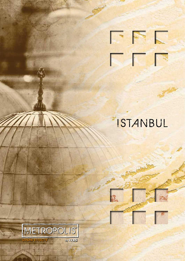

# ISTANBUL

E

p

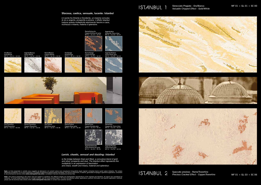ISTANBUL 1

 $MF 01 + GL 03 + SC 06$ 

#### **Sfarzosa, caotica, sensuale, lucente: Istanbul**

è il ponte fra Oriente e Occidente, un insieme convulso di oro e argento, prosperità e polvere. L'effetto Istanbul traduce questa molteplicità esprimendo fascino e caos, ricchezza e miseria, materia e splendore.

#### *Lavish, chaotic, sensual and dazzling: Istanbul*

*is the bridge between East and West, a convulsive blend of gold and silver, prosperity and dust. The Istanbul effect represents this multiplicity in an expression of fascination and chaos, wealth and misery, material and splendour.*

**Note:** Le tinte presentate in cartella sono soggette ad alterazioni e le varianti colore sono riproduzioni fotografiche degli originali: entrambe hanno quindi valore indicativo. Per evitare<br>differenze cromatiche, su un'un

**Note:** The colours presented in the colour card are subject to variations; the different shades are photographic reproductions of the originals and therefore, all colours are considered as<br>indicative. To avoid shade diffe

Sbrecciato Pregiato - Oro/Bianco *Valuable Chipped Effect - Gold/White*







# ISTANBUL 2

Spaccato prezioso - Rame/Travertino *Precious Cracked Effect - Copper/Travertino*

Oro/Bianco

*Gold/White* MF 01 + GL 01 + SC 00













### Rame/*Antracite Copper/Anthracite grey* MF 01 + GL 03 + SC 04

Argento/Avio *Silver/Air Force blue*











Oro/Travertino *Gold/Travertino* MF 01 + GL 01 + SC 06

Argento/Piombo

*Silver/Lead grey* MF 01 + GL 02 + SC 03



Rame/Tortora *Copper/Dove grey* MF 01 + GL 03 + SC 08

*Copper/Travertino* MF 01 + GL 03 + SC 06 Oro/Tortora





Rame/Avio *Copper/Air Force blue* MF 01 + GL 03 + SC 07



*Gold/Dove grey* MF 01 + GL 01 + SC 08